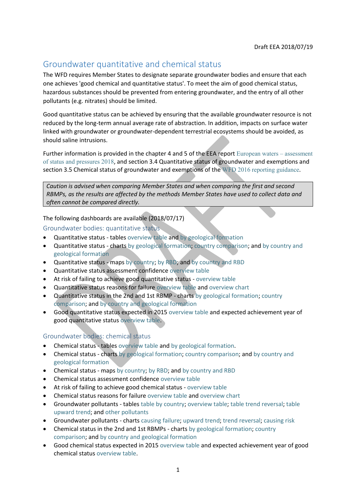# Groundwater quantitative and chemical status

The WFD requires Member States to designate separate groundwater bodies and ensure that each one achieves 'good chemical and quantitative status'. To meet the aim of good chemical status, hazardous substances should be prevented from entering groundwater, and the entry of all other pollutants (e.g. nitrates) should be limited.

Good quantitative status can be achieved by ensuring that the available groundwater resource is not reduced by the long-term annual average rate of abstraction. In addition, impacts on surface water linked with groundwater or groundwater-dependent terrestrial ecosystems should be avoided, as should saline intrusions.

Further information is provided in the chapter 4 and 5 of the EEA report [European waters](https://www.eea.europa.eu/publications/state-of-water) – assessment [of status and pressures 2018](https://www.eea.europa.eu/publications/state-of-water), and section 3.4 Quantitative status of groundwater and exemptions and section 3.5 Chemical status of groundwater and exemptions of the [WFD 2016 reporting guidance](http://cdr.eionet.europa.eu/help/WFD/WFD_521_2016).

*Caution is advised when comparing Member States and when comparing the first and second RBMPs, as the results are affected by the methods Member States have used to collect data and often cannot be compared directly.*

The following dashboards are available (2018/07/17)

Groundwater bodies: quantitative status

- Quantitative status tables [overview table](https://tableau.discomap.eea.europa.eu/t/Wateronline/views/WISE_SOW_GroundWaterBody/GWB_QuantitativeStatus?:embed=y&:display_count=no&:showVizHome=no) and [by geological formation](https://tableau.discomap.eea.europa.eu/t/Wateronline/views/WISE_SOW_GroundWaterBody/GWB_Category_QuantitativeStatus?:embed=y&:display_count=no&:showVizHome=no)
- Quantitative status charts [by geological formation;](https://tableau.discomap.eea.europa.eu/t/Wateronline/views/WISE_SOW_Status/GWB_Status_Category?:embed=y&:showAppBanner=false&:showShareOptions=true&:display_count=no&:showVizHome=no) [country comparison;](https://tableau.discomap.eea.europa.eu/t/Wateronline/views/WISE_SOW_Status/GWB_Status_Country?:embed=y&:showAppBanner=false&:showShareOptions=true&:display_count=no&:showVizHome=no) and [by country and](https://tableau.discomap.eea.europa.eu/t/Wateronline/views/WISE_SOW_Status/GWB_Status_Category_Country?:embed=y&:showAppBanner=false&:showShareOptions=true&:display_count=no&:showVizHome=no)  [geological formation](https://tableau.discomap.eea.europa.eu/t/Wateronline/views/WISE_SOW_Status/GWB_Status_Category_Country?:embed=y&:showAppBanner=false&:showShareOptions=true&:display_count=no&:showVizHome=no)
- Quantitative status maps [by country;](https://tableau.discomap.eea.europa.eu/t/Wateronline/views/WISE_SOW_GWB_Status_Maps/GWB_Status_NUTS0?iframeSizedToWindow=true&:embed=y&:showAppBanner=false&:display_count=no&:showVizHome=no) [by RBD;](https://tableau.discomap.eea.europa.eu/t/Wateronline/views/WISE_SOW_GWB_Status_Maps/GWB_Status_RBD?iframeSizedToWindow=true&:embed=y&:showAppBanner=false&:display_count=no&:showVizHome=no) and [by country and RBD](https://tableau.discomap.eea.europa.eu/t/Wateronline/views/WISE_SOW_GWB_Status_Maps/GWB_Status_Country?iframeSizedToWindow=true&:embed=y&:showAppBanner=false&:display_count=no&:showVizHome=no)
- Quantitative status assessment confidence [overview table](https://tableau.discomap.eea.europa.eu/t/Wateronline/views/WISE_SOW_GWB_ExpectedStatus/GWB_gwQuantitativeAssessmentConfidence?:embed=y&:showAppBanner=false&:showShareOptions=true&:display_count=no&:showVizHome=no)
- At risk of failing to achieve good quantitative status [overview table](https://tableau.discomap.eea.europa.eu/t/Wateronline/views/WISE_SOW_GWB_gwAtRiskQuantitative/GWB_gwAtRiskQuantitative?iframeSizedToWindow=true&:embed=y&:showAppBanner=false&:display_count=no&:showVizHome=no)
- Quantitative status reasons for failure [overview table](https://tableau.discomap.eea.europa.eu/t/Wateronline/views/WISE_SOW_gwQuantitativeReasonsForFailure/GWB_gwQuantitativeReasonsForFailure?%3Aembed=y&%3AshowAppBanner=false&%3AshowShareOptions=true&%3Adisplay_count=no&%3AshowVizHome=no) and [overview chart](https://tableau.discomap.eea.europa.eu/t/Wateronline/views/WISE_SOW_gwQuantitativeReasonsForFailure/GWB_gwQuantitativeReasonsForFailure_Europe_Chart?iframeSizedToWindow=true&:embed=y&:showAppBanner=false&:display_count=no&:showVizHome=no)
- Quantitative status in the 2nd and 1st RBMP charts [by geological formation;](https://tableau.discomap.eea.europa.eu/t/Wateronline/views/WISE_SOW_GWB_Status_Compare/GWB_QuantitativeStatus_Category?:embed=y&:showAppBanner=false&:showShareOptions=true&:display_count=no&:showVizHome=no) [country](https://tableau.discomap.eea.europa.eu/t/Wateronline/views/WISE_SOW_GWB_Status_Compare/GWB_QuantitativeStatus_Country?:embed=y&:showAppBanner=false&:showShareOptions=true&:display_count=no&:showVizHome=no)  [comparison;](https://tableau.discomap.eea.europa.eu/t/Wateronline/views/WISE_SOW_GWB_Status_Compare/GWB_QuantitativeStatus_Country?:embed=y&:showAppBanner=false&:showShareOptions=true&:display_count=no&:showVizHome=no) and [by country and geological formation](https://tableau.discomap.eea.europa.eu/t/Wateronline/views/WISE_SOW_GWB_Status_Compare/GWB_QuantitativeStatus_CategoryCountry?:embed=y&:showAppBanner=false&:showShareOptions=true&:display_count=no&:showVizHome=no)
- Good quantitative status expected in 2015 [overview table](https://tableau.discomap.eea.europa.eu/t/Wateronline/views/WISE_SOW_GWB_ExpectedStatus/GWB_gwQuantitativeStatusExpectedGoodIn2015?:embed=y&:showAppBanner=false&:showShareOptions=true&:display_count=no&:showVizHome=no) and expected achievement year of good quantitative status [overview table.](https://tableau.discomap.eea.europa.eu/t/Wateronline/views/WISE_SOW_GWB_ExpectedStatus/GWB_gwQuantitativeStatusExpectedAchievementDate?:embed=y&:showAppBanner=false&:showShareOptions=true&:display_count=no&:showVizHome=no)

### Groundwater bodies: chemical status

- Chemical status tables [overview table](https://tableau.discomap.eea.europa.eu/t/Wateronline/views/WISE_SOW_GroundWaterBody/GWB_ChemicalStatus?:embed=y&:display_count=no&:showVizHome=no) and [by geological formation.](https://tableau.discomap.eea.europa.eu/t/Wateronline/views/WISE_SOW_GroundWaterBody/GWB_Category_ChemicalStatus?:embed=y&:display_count=no&:showVizHome=no)
- Chemical status charts [by geological formation;](https://tableau.discomap.eea.europa.eu/t/Wateronline/views/WISE_SOW_Status/GWB_Status_Category?:embed=y&:showAppBanner=false&:showShareOptions=true&:display_count=no&:showVizHome=no) [country comparison;](https://tableau.discomap.eea.europa.eu/t/Wateronline/views/WISE_SOW_Status/GWB_Status_Country?:embed=y&:showAppBanner=false&:showShareOptions=true&:display_count=no&:showVizHome=no) and by country and [geological formation](https://tableau.discomap.eea.europa.eu/t/Wateronline/views/WISE_SOW_Status/GWB_Status_Category_Country?:embed=y&:showAppBanner=false&:showShareOptions=true&:display_count=no&:showVizHome=no)
- Chemical status maps [by country;](https://tableau.discomap.eea.europa.eu/t/Wateronline/views/WISE_SOW_GWB_Status_Maps/GWB_Status_NUTS0?iframeSizedToWindow=true&:embed=y&:showAppBanner=false&:display_count=no&:showVizHome=no) [by RBD;](https://tableau.discomap.eea.europa.eu/t/Wateronline/views/WISE_SOW_GWB_Status_Maps/GWB_Status_RBD?iframeSizedToWindow=true&:embed=y&:showAppBanner=false&:display_count=no&:showVizHome=no) and [by country and RBD](https://tableau.discomap.eea.europa.eu/t/Wateronline/views/WISE_SOW_GWB_Status_Maps/GWB_Status_Country?iframeSizedToWindow=true&:embed=y&:showAppBanner=false&:display_count=no&:showVizHome=no)
- Chemical status assessment confidence [overview table](https://tableau.discomap.eea.europa.eu/t/Wateronline/views/WISE_SOW_GWB_ExpectedStatus/GWB_gwChemicalAssessmentConfidence?:embed=y&:showAppBanner=false&:showShareOptions=true&:display_count=no&:showVizHome=no)
- At risk of failing to achieve good chemical status [overview table](https://tableau.discomap.eea.europa.eu/t/Wateronline/views/WISE_SOW_GWB_gwAtRiskChemical/GWB_gwAtRiskChemical?iframeSizedToWindow=true&:embed=y&:showAppBanner=false&:display_count=no&:showVizHome=no)
- Chemical status reasons for failure [overview table](https://tableau.discomap.eea.europa.eu/t/Wateronline/views/WISE_SOW_gwChemicalReasonsForFailure/GWB_gwChemicalReasonsForFailure?:embed=y&:showAppBanner=false&:showShareOptions=true&:display_count=no&:showVizHome=no) and [overview chart](https://tableau.discomap.eea.europa.eu/t/Wateronline/views/WISE_SOW_gwChemicalReasonsForFailure/GWB_gwChemicalReasonsForFailure_Europe_Chart?iframeSizedToWindow=true&:embed=y&:showAppBanner=false&:display_count=no&:showVizHome=no)
- Groundwater pollutants table[s table by country;](https://tableau.discomap.eea.europa.eu/t/Wateronline/views/WISE_SOW_gwPollutant/GWB_gwPollutant?:embed=y&:showAppBanner=false&:showShareOptions=true&:display_count=no&:showVizHome=no) [overview table;](https://tableau.discomap.eea.europa.eu/t/Wateronline/views/WISE_SOW_gwPollutant/GWB_gwPollutant_Europe?:embed=y&:showAppBanner=false&:showShareOptions=true&:display_count=no&:showVizHome=no) [table trend reversal;](https://tableau.discomap.eea.europa.eu/t/Wateronline/views/WISE_SOW_gwPollutant/GWB_gwPollutant_Europe/nery@eea.dmz1/TrendReversal?:embed=y&:showAppBanner=false&:showShareOptions=true&:display_count=no&:showVizHome=no) [table](https://tableau.discomap.eea.europa.eu/t/Wateronline/views/WISE_SOW_gwPollutant/GWB_gwPollutant_Europe/nery@eea.dmz1/UpwardTrend?:embed=y&:showAppBanner=false&:showShareOptions=true&:display_count=no&:showVizHome=no)  [upward trend;](https://tableau.discomap.eea.europa.eu/t/Wateronline/views/WISE_SOW_gwPollutant/GWB_gwPollutant_Europe/nery@eea.dmz1/UpwardTrend?:embed=y&:showAppBanner=false&:showShareOptions=true&:display_count=no&:showVizHome=no) and [other pollutants](https://tableau.discomap.eea.europa.eu/t/Wateronline/views/WISE_SOW_gwPollutantOther/WISE_SOW_gwPollutantOther?:embed=y&:showAppBanner=false&:showShareOptions=true&:display_count=no&:showVizHome=no)
- Groundwater pollutants charts [causing](https://tableau.discomap.eea.europa.eu/t/Wateronline/views/WISE_SOW_gwPollutant/GWB_gwPollutant_Europe_G?:embed=y&:showAppBanner=false&:showShareOptions=true&:display_count=no&:showVizHome=no) failure; [upward trend;](https://tableau.discomap.eea.europa.eu/t/Wateronline/views/WISE_SOW_gwPollutant/GWB_gwPollutant_Europe_G/nery@eea.dmz1/UpwardTrend?:embed=y&:showAppBanner=false&:showShareOptions=true&:display_count=no&:showVizHome=no) [trend reversal;](https://tableau.discomap.eea.europa.eu/t/Wateronline/views/WISE_SOW_gwPollutant/GWB_gwPollutant_Europe_G/nery@eea.dmz1/TrendReversal?%3Aembed=y&%3AshowAppBanner=false&%3AshowShareOptions=true&%3Adisplay_count=no&%3AshowVizHome=no) [causing risk](https://tableau.discomap.eea.europa.eu/t/Wateronline/views/WISE_SOW_gwPollutant/GWB_gwPollutant_Europe_G/nery@eea.dmz1/CausingRisk?%3Aembed=y&%3AshowAppBanner=false&%3AshowShareOptions=true&%3Adisplay_count=no&%3AshowVizHome=no)
- Chemical status in the 2nd and 1st RBMPs charts [by geological formation;](https://tableau.discomap.eea.europa.eu/t/Wateronline/views/WISE_SOW_GWB_Status_Compare/GWB_ChemicalStatus_Category?:embed=y&:showAppBanner=false&:showShareOptions=true&:display_count=no&:showVizHome=no) [country](https://tableau.discomap.eea.europa.eu/t/Wateronline/views/WISE_SOW_GWB_Status_Compare/GWB_ChemicalStatus_Country?:embed=y&:showAppBanner=false&:showShareOptions=true&:display_count=no&:showVizHome=no)  [comparison;](https://tableau.discomap.eea.europa.eu/t/Wateronline/views/WISE_SOW_GWB_Status_Compare/GWB_ChemicalStatus_Country?:embed=y&:showAppBanner=false&:showShareOptions=true&:display_count=no&:showVizHome=no) and [by country and geological formation](https://tableau.discomap.eea.europa.eu/t/Wateronline/views/WISE_SOW_GWB_Status_Compare/GWB_ChemicalStatus_CategoryCountry?:embed=y&:showAppBanner=false&:showShareOptions=true&:display_count=no&:showVizHome=no)
- Good chemical status expected in 2015 [overview table](https://tableau.discomap.eea.europa.eu/t/Wateronline/views/WISE_SOW_GWB_ExpectedStatus/GWB_gwChemicalStatusExpectedGoodIn2015?:embed=y&:showAppBanner=false&:showShareOptions=true&:display_count=no&:showVizHome=no) and expected achievement year of good chemical status [overview table.](https://tableau.discomap.eea.europa.eu/t/Wateronline/views/WISE_SOW_GWB_ExpectedStatus/GWB_gwChemicalStatusExpectedAchievementDate?:embed=y&:showAppBanner=false&:showShareOptions=true&:display_count=no&:showVizHome=no)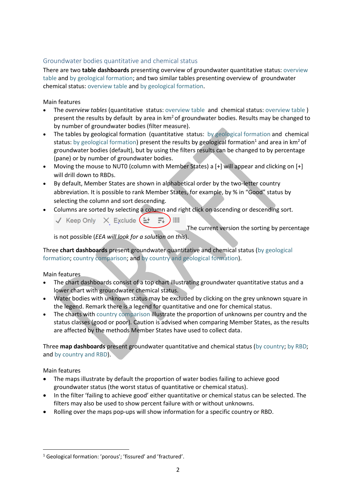### Groundwater bodies quantitative and chemical status

There are two **table dashboards** presenting overview of groundwater quantitative status: [overview](https://tableau.discomap.eea.europa.eu/t/Wateronline/views/WISE_SOW_GroundWaterBody/GWB_QuantitativeStatus?:embed=y&:display_count=no&:showVizHome=no)  [table](https://tableau.discomap.eea.europa.eu/t/Wateronline/views/WISE_SOW_GroundWaterBody/GWB_QuantitativeStatus?:embed=y&:display_count=no&:showVizHome=no) and [by geological formation;](https://tableau.discomap.eea.europa.eu/t/Wateronline/views/WISE_SOW_GroundWaterBody/GWB_Category_QuantitativeStatus?:embed=y&:display_count=no&:showVizHome=no) and two similar tables presenting overview of groundwater chemical status[: overview table](https://tableau.discomap.eea.europa.eu/t/Wateronline/views/WISE_SOW_GroundWaterBody/GWB_ChemicalStatus?:embed=y&:display_count=no&:showVizHome=no) and [by geological formation.](https://tableau.discomap.eea.europa.eu/t/Wateronline/views/WISE_SOW_GroundWaterBody/GWB_Category_ChemicalStatus?:embed=y&:display_count=no&:showVizHome=no)

Main features

- The *overview tables* (quantitative status: [overview table](https://tableau.discomap.eea.europa.eu/t/Wateronline/views/WISE_SOW_GroundWaterBody/GWB_QuantitativeStatus?:embed=y&:display_count=no&:showVizHome=no) and chemical status: [overview table](https://tableau.discomap.eea.europa.eu/t/Wateronline/views/WISE_SOW_GroundWaterBody/GWB_ChemicalStatus?:embed=y&:display_count=no&:showVizHome=no) ) present the results by default by area in  $km^2$  of groundwater bodies. Results may be changed to by number of groundwater bodies (filter measure).
- The tables by geological formation (quantitative status: [by geological formation](https://tableau.discomap.eea.europa.eu/t/Wateronline/views/WISE_SOW_GroundWaterBody/GWB_Category_QuantitativeStatus?:embed=y&:display_count=no&:showVizHome=no) and chemical status: [by geological formation\)](https://tableau.discomap.eea.europa.eu/t/Wateronline/views/WISE_SOW_GroundWaterBody/GWB_Category_ChemicalStatus?:embed=y&:display_count=no&:showVizHome=no) present the results by geological formation<sup>1</sup> and area in  $km^2$  of groundwater bodies (default), but by using the filters results can be changed to by percentage (pane) or by number of groundwater bodies.
- Moving the mouse to NUT0 (column with Member States) a [+] will appear and clicking on [+] will drill down to RBDs.
- By default, Member States are shown in alphabetical order by the two-letter country abbreviation. It is possible to rank Member States, for example, by % in "Good" status by selecting the column and sort descending.
- Columns are sorted by selecting a column and right click on ascending or descending sort.

**IEE** 

 $\checkmark$  Keep Only  $\checkmark$  Exclude  $(\checkmark \to \bar \Xi)$ 

The current version the sorting by percentage

is not possible (*EEA will look for a solution on this*).

Three **chart dashboards** present groundwater quantitative and chemical status [\(by geological](https://tableau.discomap.eea.europa.eu/t/Wateronline/views/WISE_SOW_Status/GWB_Status_Category?:embed=y&:showAppBanner=false&:showShareOptions=true&:display_count=no&:showVizHome=no)  [formation;](https://tableau.discomap.eea.europa.eu/t/Wateronline/views/WISE_SOW_Status/GWB_Status_Category?:embed=y&:showAppBanner=false&:showShareOptions=true&:display_count=no&:showVizHome=no) [country comparison;](https://tableau.discomap.eea.europa.eu/t/Wateronline/views/WISE_SOW_Status/GWB_Status_Country?:embed=y&:showAppBanner=false&:showShareOptions=true&:display_count=no&:showVizHome=no) and [by country and geological formation\)](https://tableau.discomap.eea.europa.eu/t/Wateronline/views/WISE_SOW_Status/GWB_Status_Category_Country?:embed=y&:showAppBanner=false&:showShareOptions=true&:display_count=no&:showVizHome=no).

Main features

- The chart dashboards consist of a top chart illustrating groundwater quantitative status and a lower chart with groundwater chemical status.
- Water bodies with unknown status may be excluded by clicking on the grey unknown square in the legend. Remark there is a legend for quantitative and one for chemical status.
- The charts wit[h country comparison](https://tableau.discomap.eea.europa.eu/t/Wateronline/views/WISE_SOW_Status/GWB_Status_Country?:embed=y&:showAppBanner=false&:showShareOptions=true&:display_count=no&:showVizHome=no) illustrate the proportion of unknowns per country and the status classes (good or poor). Caution is advised when comparing Member States, as the results are affected by the methods Member States have used to collect data.

Three **map dashboards** present groundwater quantitative and chemical status [\(by country;](https://tableau.discomap.eea.europa.eu/t/Wateronline/views/WISE_SOW_GWB_Status_Maps/GWB_Status_NUTS0?iframeSizedToWindow=true&:embed=y&:showAppBanner=false&:display_count=no&:showVizHome=no) [by RBD;](https://tableau.discomap.eea.europa.eu/t/Wateronline/views/WISE_SOW_GWB_Status_Maps/GWB_Status_RBD?iframeSizedToWindow=true&:embed=y&:showAppBanner=false&:display_count=no&:showVizHome=no) and [by country and RBD\)](https://tableau.discomap.eea.europa.eu/t/Wateronline/views/WISE_SOW_GWB_Status_Maps/GWB_Status_Country?iframeSizedToWindow=true&:embed=y&:showAppBanner=false&:display_count=no&:showVizHome=no).

Main features

**.** 

- The maps illustrate by default the proportion of water bodies failing to achieve good groundwater status (the worst status of quantitative or chemical status).
- In the filter 'failing to achieve good' either quantitative or chemical status can be selected. The filters may also be used to show percent failure with or without unknowns.
- Rolling over the maps pop-ups will show information for a specific country or RBD.

<sup>&</sup>lt;sup>1</sup> Geological formation: 'porous'; 'fissured' and 'fractured'.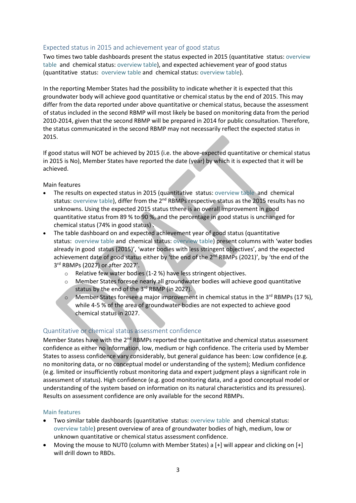### Expected status in 2015 and achievement year of good status

Two times two table dashboards present the status expected in 2015 (quantitative status: [overview](https://tableau.discomap.eea.europa.eu/t/Wateronline/views/WISE_SOW_GWB_ExpectedStatus/GWB_gwQuantitativeStatusExpectedGoodIn2015?:embed=y&:showAppBanner=false&:showShareOptions=true&:display_count=no&:showVizHome=no)  [table](https://tableau.discomap.eea.europa.eu/t/Wateronline/views/WISE_SOW_GWB_ExpectedStatus/GWB_gwQuantitativeStatusExpectedGoodIn2015?:embed=y&:showAppBanner=false&:showShareOptions=true&:display_count=no&:showVizHome=no) and chemical status: [overview table\)](https://tableau.discomap.eea.europa.eu/t/Wateronline/views/WISE_SOW_GWB_ExpectedStatus/GWB_gwChemicalStatusExpectedGoodIn2015?:embed=y&:showAppBanner=false&:showShareOptions=true&:display_count=no&:showVizHome=no), and expected achievement year of good status (quantitative status: [overview](https://tableau.discomap.eea.europa.eu/t/Wateronline/views/WISE_SOW_GWB_ExpectedStatus/GWB_gwQuantitativeStatusExpectedAchievementDate?:embed=y&:showAppBanner=false&:showShareOptions=true&:display_count=no&:showVizHome=no) table and chemical status[: overview table\)](https://tableau.discomap.eea.europa.eu/t/Wateronline/views/WISE_SOW_GWB_ExpectedStatus/GWB_gwChemicalStatusExpectedAchievementDate?:embed=y&:showAppBanner=false&:showShareOptions=true&:display_count=no&:showVizHome=no).

In the reporting Member States had the possibility to indicate whether it is expected that this groundwater body will achieve good quantitative or chemical status by the end of 2015. This may differ from the data reported under above quantitative or chemical status, because the assessment of status included in the second RBMP will most likely be based on monitoring data from the period 2010-2014, given that the second RBMP will be prepared in 2014 for public consultation. Therefore, the status communicated in the second RBMP may not necessarily reflect the expected status in 2015.

If good status will NOT be achieved by 2015 (i.e. the above-expected quantitative or chemical status in 2015 is No), Member States have reported the date (year) by which it is expected that it will be achieved.

Main features

- The results on expected status in 2015 (quantitative status: [overview table](https://tableau.discomap.eea.europa.eu/t/Wateronline/views/WISE_SOW_GWB_ExpectedStatus/GWB_gwQuantitativeStatusExpectedGoodIn2015?:embed=y&:showAppBanner=false&:showShareOptions=true&:display_count=no&:showVizHome=no) and chemical status[: overview table\)](https://tableau.discomap.eea.europa.eu/t/Wateronline/views/WISE_SOW_GWB_ExpectedStatus/GWB_gwChemicalStatusExpectedGoodIn2015?:embed=y&:showAppBanner=false&:showShareOptions=true&:display_count=no&:showVizHome=no), differ from the 2<sup>nd</sup> RBMPs respective status as the 2015 results has no unknowns. Using the expected 2015 status tthere is an overall improvement in good quantitative status from 89 % to 90 %, and the percentage in good status is unchanged for chemical status (74% in good status) .
- The table dashboard on and expected achievement year of good status [\(quantitative](https://tableau.discomap.eea.europa.eu/t/Wateronline/views/WISE_SOW_SWB_ExpectedStatus/SWB_EcologicalStatusExpectedDate?:embed=y&:showAppBanner=false&:showShareOptions=true&:display_count=no&:showVizHome=no)  status: [overview table](https://tableau.discomap.eea.europa.eu/t/Wateronline/views/WISE_SOW_GWB_ExpectedStatus/GWB_gwQuantitativeStatusExpectedAchievementDate?:embed=y&:showAppBanner=false&:showShareOptions=true&:display_count=no&:showVizHome=no) [and chemical status: overview table\)](https://tableau.discomap.eea.europa.eu/t/Wateronline/views/WISE_SOW_SWB_ExpectedStatus/SWB_EcologicalStatusExpectedDate?:embed=y&:showAppBanner=false&:showShareOptions=true&:display_count=no&:showVizHome=no) present columns with 'water bodies already in good status (2015)', 'water bodies with less stringent objectives', and the expected achievement date of good status either by 'the end of the 2<sup>nd</sup> RBMPs (2021)', by 'the end of the 3 rd RBMPs (2027) or after 2027'.
	- o Relative few water bodies (1-2 %) have less stringent objectives.
	- Member States foresee nearly all groundwater bodies will achieve good quantitative status by the end of the 3rd RBMP (in 2027).
	- o Member States foresee a major improvement in chemical status in the 3rd RBMPs (17 %), while 4-5 % of the area of groundwater bodies are not expected to achieve good chemical status in 2027.

### Quantitative or chemical status assessment confidence

Member States have with the 2<sup>nd</sup> RBMPs reported the quantitative and chemical status assessment confidence as either no information, low, medium or high confidence. The criteria used by Member States to assess confidence vary considerably, but general guidance has been: Low confidence (e.g. no monitoring data, or no conceptual model or understanding of the system); Medium confidence (e.g. limited or insufficiently robust monitoring data and expert judgment plays a significant role in assessment of status). High confidence (e.g. good monitoring data, and a good conceptual model or understanding of the system based on information on its natural characteristics and its pressures). Results on assessment confidence are only available for the second RBMPs.

#### Main features

- Two similar table dashboards (quantitative status[: overview table](https://tableau.discomap.eea.europa.eu/t/Wateronline/views/WISE_SOW_GWB_ExpectedStatus/GWB_gwQuantitativeAssessmentConfidence?:embed=y&:showAppBanner=false&:showShareOptions=true&:display_count=no&:showVizHome=no) and chemical status: [overview table\)](https://tableau.discomap.eea.europa.eu/t/Wateronline/views/WISE_SOW_GWB_ExpectedStatus/GWB_gwChemicalAssessmentConfidence?:embed=y&:showAppBanner=false&:showShareOptions=true&:display_count=no&:showVizHome=no) present overview of area of groundwater bodies of high, medium, low or unknown quantitative or chemical status assessment confidence.
- Moving the mouse to NUT0 (column with Member States) a  $[+]$  will appear and clicking on  $[+]$ will drill down to RBDs.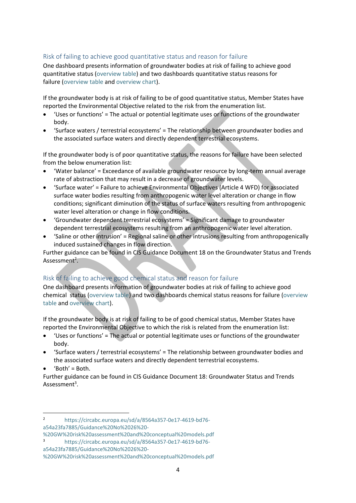## Risk of failing to achieve good quantitative status and reason for failure

One dashboard presents information of groundwater bodies at risk of failing to achieve good quantitative status [\(overview table\)](https://tableau.discomap.eea.europa.eu/t/Wateronline/views/WISE_SOW_GWB_gwAtRiskQuantitative/GWB_gwAtRiskQuantitative?iframeSizedToWindow=true&:embed=y&:showAppBanner=false&:display_count=no&:showVizHome=no) and two dashboards quantitative status reasons for failure [\(overview table](https://tableau.discomap.eea.europa.eu/t/Wateronline/views/WISE_SOW_gwQuantitativeReasonsForFailure/GWB_gwQuantitativeReasonsForFailure?%3Aembed=y&%3AshowAppBanner=false&%3AshowShareOptions=true&%3Adisplay_count=no&%3AshowVizHome=no) and [overview chart\)](https://tableau.discomap.eea.europa.eu/t/Wateronline/views/WISE_SOW_gwQuantitativeReasonsForFailure/GWB_gwQuantitativeReasonsForFailure_Europe_Chart?iframeSizedToWindow=true&:embed=y&:showAppBanner=false&:display_count=no&:showVizHome=no).

If the groundwater body is at risk of failing to be of good quantitative status, Member States have reported the Environmental Objective related to the risk from the enumeration list.

- 'Uses or functions' = The actual or potential legitimate uses or functions of the groundwater body.
- 'Surface waters / terrestrial ecosystems' = The relationship between groundwater bodies and the associated surface waters and directly dependent terrestrial ecosystems.

If the groundwater body is of poor quantitative status, the reasons for failure have been selected from the below enumeration list:

- 'Water balance' = Exceedance of available groundwater resource by long-term annual average rate of abstraction that may result in a decrease of groundwater levels.
- 'Surface water' = Failure to achieve Environmental Objectives (Article 4 WFD) for associated surface water bodies resulting from anthropogenic water level alteration or change in flow conditions; significant diminution of the status of surface waters resulting from anthropogenic water level alteration or change in flow conditions.
- 'Groundwater dependent terrestrial ecosystems' = Significant damage to groundwater dependent terrestrial ecosystems resulting from an anthropogenic water level alteration.
- 'Saline or other intrusion' = Regional saline or other intrusions resulting from anthropogenically induced sustained changes in flow direction.

Further guidance can be found in CIS Guidance Document 18 on the Groundwater Status and Trends Assessment<sup>2</sup>.

# Risk of failing to achieve good chemical status and reason for failure

One dashboard presents information of groundwater bodies at risk of failing to achieve good chemical status [\(overview table\)](https://tableau.discomap.eea.europa.eu/t/Wateronline/views/WISE_SOW_GWB_gwAtRiskChemical/GWB_gwAtRiskChemical?iframeSizedToWindow=true&:embed=y&:showAppBanner=false&:display_count=no&:showVizHome=no) and two dashboards chemical status reasons for failure [\(overview](https://tableau.discomap.eea.europa.eu/t/Wateronline/views/WISE_SOW_gwChemicalReasonsForFailure/GWB_gwChemicalReasonsForFailure?:embed=y&:showAppBanner=false&:showShareOptions=true&:display_count=no&:showVizHome=no)  [table](https://tableau.discomap.eea.europa.eu/t/Wateronline/views/WISE_SOW_gwChemicalReasonsForFailure/GWB_gwChemicalReasonsForFailure?:embed=y&:showAppBanner=false&:showShareOptions=true&:display_count=no&:showVizHome=no) and [overview chart\)](https://tableau.discomap.eea.europa.eu/t/Wateronline/views/WISE_SOW_gwChemicalReasonsForFailure/GWB_gwChemicalReasonsForFailure_Europe_Chart?iframeSizedToWindow=true&:embed=y&:showAppBanner=false&:display_count=no&:showVizHome=no).

If the groundwater body is at risk of failing to be of good chemical status, Member States have reported the Environmental Objective to which the risk is related from the enumeration list:

- 'Uses or functions' = The actual or potential legitimate uses or functions of the groundwater body.
- 'Surface waters / terrestrial ecosystems' = The relationship between groundwater bodies and the associated surface waters and directly dependent terrestrial ecosystems.
- 'Both' = Both.

Further guidance can be found in CIS Guidance Document 18: Groundwater Status and Trends Assessment<sup>3</sup>.

[a54a23fa7885/Guidance%20No%2026%20-](https://circabc.europa.eu/sd/a/8564a357-0e17-4619-bd76-a54a23fa7885/Guidance%20No%2026%20-%20GW%20risk%20assessment%20and%20conceptual%20models.pdf)

**<sup>.</sup>** <sup>2</sup> [https://circabc.europa.eu/sd/a/8564a357-0e17-4619-bd76](https://circabc.europa.eu/sd/a/8564a357-0e17-4619-bd76-a54a23fa7885/Guidance%20No%2026%20-%20GW%20risk%20assessment%20and%20conceptual%20models.pdf) [a54a23fa7885/Guidance%20No%2026%20-](https://circabc.europa.eu/sd/a/8564a357-0e17-4619-bd76-a54a23fa7885/Guidance%20No%2026%20-%20GW%20risk%20assessment%20and%20conceptual%20models.pdf)

[<sup>%20</sup>GW%20risk%20assessment%20and%20conceptual%20models.pdf](https://circabc.europa.eu/sd/a/8564a357-0e17-4619-bd76-a54a23fa7885/Guidance%20No%2026%20-%20GW%20risk%20assessment%20and%20conceptual%20models.pdf) <sup>3</sup> [https://circabc.europa.eu/sd/a/8564a357-0e17-4619-bd76-](https://circabc.europa.eu/sd/a/8564a357-0e17-4619-bd76-a54a23fa7885/Guidance%20No%2026%20-%20GW%20risk%20assessment%20and%20conceptual%20models.pdf)

[<sup>%20</sup>GW%20risk%20assessment%20and%20conceptual%20models.pdf](https://circabc.europa.eu/sd/a/8564a357-0e17-4619-bd76-a54a23fa7885/Guidance%20No%2026%20-%20GW%20risk%20assessment%20and%20conceptual%20models.pdf)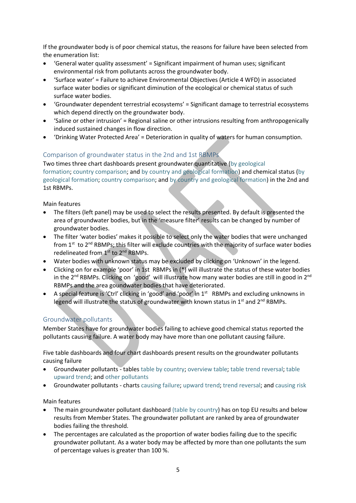If the groundwater body is of poor chemical status, the reasons for failure have been selected from the enumeration list:

- 'General water quality assessment' = Significant impairment of human uses; significant environmental risk from pollutants across the groundwater body.
- 'Surface water' = Failure to achieve Environmental Objectives (Article 4 WFD) in associated surface water bodies or significant diminution of the ecological or chemical status of such surface water bodies.
- 'Groundwater dependent terrestrial ecosystems' = Significant damage to terrestrial ecosystems which depend directly on the groundwater body.
- 'Saline or other intrusion' = Regional saline or other intrusions resulting from anthropogenically induced sustained changes in flow direction.
- 'Drinking Water Protected Area' = Deterioration in quality of waters for human consumption.

# Comparison of groundwater status in the 2nd and 1st RBMPs

Two times three chart dashboards present groundwater quantitative [\(by geological](https://tableau.discomap.eea.europa.eu/t/Wateronline/views/WISE_SOW_GWB_Status_Compare/GWB_QuantitativeStatus_Category?:embed=y&:showAppBanner=false&:showShareOptions=true&:display_count=no&:showVizHome=no)  [formation;](https://tableau.discomap.eea.europa.eu/t/Wateronline/views/WISE_SOW_GWB_Status_Compare/GWB_QuantitativeStatus_Category?:embed=y&:showAppBanner=false&:showShareOptions=true&:display_count=no&:showVizHome=no) [country comparison;](https://tableau.discomap.eea.europa.eu/t/Wateronline/views/WISE_SOW_GWB_Status_Compare/GWB_QuantitativeStatus_Country?:embed=y&:showAppBanner=false&:showShareOptions=true&:display_count=no&:showVizHome=no) and [by country and geological formation\)](https://tableau.discomap.eea.europa.eu/t/Wateronline/views/WISE_SOW_GWB_Status_Compare/GWB_QuantitativeStatus_CategoryCountry?:embed=y&:showAppBanner=false&:showShareOptions=true&:display_count=no&:showVizHome=no) and chemical status [\(by](https://tableau.discomap.eea.europa.eu/t/Wateronline/views/WISE_SOW_GWB_Status_Compare/GWB_ChemicalStatus_Category?:embed=y&:showAppBanner=false&:showShareOptions=true&:display_count=no&:showVizHome=no)  [geological formation;](https://tableau.discomap.eea.europa.eu/t/Wateronline/views/WISE_SOW_GWB_Status_Compare/GWB_ChemicalStatus_Category?:embed=y&:showAppBanner=false&:showShareOptions=true&:display_count=no&:showVizHome=no) [country comparison;](https://tableau.discomap.eea.europa.eu/t/Wateronline/views/WISE_SOW_GWB_Status_Compare/GWB_ChemicalStatus_Country?:embed=y&:showAppBanner=false&:showShareOptions=true&:display_count=no&:showVizHome=no) and [by country and geological formation\)](https://tableau.discomap.eea.europa.eu/t/Wateronline/views/WISE_SOW_GWB_Status_Compare/GWB_ChemicalStatus_CategoryCountry?:embed=y&:showAppBanner=false&:showShareOptions=true&:display_count=no&:showVizHome=no) in the 2nd and 1st RBMPs.

Main features

- The filters (left panel) may be used to select the results presented. By default is presented the area of groundwater bodies, but in the 'measure filter' results can be changed by number of groundwater bodies.
- The filter 'water bodies' makes it possible to select only the water bodies that were unchanged from 1<sup>st</sup> to 2<sup>nd</sup> RBMPs; this filter will exclude countries with the majority of surface water bodies redelineated from 1st to 2nd RBMPs.
- Water bodies with unknown status may be excluded by clicking on 'Unknown' in the legend.
- Clicking on for example 'poor' in 1st RBMPs in (\*) will illustrate the status of these water bodies in the  $2^{nd}$  RBMPs. Clicking on 'good' will illustrate how many water bodies are still in good in  $2^{nd}$ RBMPs and the area goundwater bodies that have deteriorated.
- A special feature is 'Ctrl' clicking in 'good' and 'poor' in 1<sup>st</sup> RBMPs and excluding unknowns in legend will illustrate the status of groundwater with known status in 1<sup>st</sup> and 2<sup>nd</sup> RBMPs.

# Groundwater pollutants

Member States have for groundwater bodies failing to achieve good chemical status reported the pollutants causing failure. A water body may have more than one pollutant causing failure.

Five table dashboards and four chart dashboards present results on the groundwater pollutants causing failure

- Groundwater pollutants table[s table by country;](https://tableau.discomap.eea.europa.eu/t/Wateronline/views/WISE_SOW_gwPollutant/GWB_gwPollutant?:embed=y&:showAppBanner=false&:showShareOptions=true&:display_count=no&:showVizHome=no) [overview table;](https://tableau.discomap.eea.europa.eu/t/Wateronline/views/WISE_SOW_gwPollutant/GWB_gwPollutant_Europe?:embed=y&:showAppBanner=false&:showShareOptions=true&:display_count=no&:showVizHome=no) [table trend reversal;](https://tableau.discomap.eea.europa.eu/t/Wateronline/views/WISE_SOW_gwPollutant/GWB_gwPollutant_Europe/nery@eea.dmz1/TrendReversal?:embed=y&:showAppBanner=false&:showShareOptions=true&:display_count=no&:showVizHome=no) [table](https://tableau.discomap.eea.europa.eu/t/Wateronline/views/WISE_SOW_gwPollutant/GWB_gwPollutant_Europe/nery@eea.dmz1/UpwardTrend?:embed=y&:showAppBanner=false&:showShareOptions=true&:display_count=no&:showVizHome=no)  [upward trend;](https://tableau.discomap.eea.europa.eu/t/Wateronline/views/WISE_SOW_gwPollutant/GWB_gwPollutant_Europe/nery@eea.dmz1/UpwardTrend?:embed=y&:showAppBanner=false&:showShareOptions=true&:display_count=no&:showVizHome=no) and [other pollutants](https://tableau.discomap.eea.europa.eu/t/Wateronline/views/WISE_SOW_gwPollutantOther/WISE_SOW_gwPollutantOther?:embed=y&:showAppBanner=false&:showShareOptions=true&:display_count=no&:showVizHome=no)
- Groundwater pollutants charts [causing failure;](https://tableau.discomap.eea.europa.eu/t/Wateronline/views/WISE_SOW_gwPollutant/GWB_gwPollutant_Europe_G?:embed=y&:showAppBanner=false&:showShareOptions=true&:display_count=no&:showVizHome=no) [upward trend;](https://tableau.discomap.eea.europa.eu/t/Wateronline/views/WISE_SOW_gwPollutant/GWB_gwPollutant_Europe_G/nery@eea.dmz1/UpwardTrend?:embed=y&:showAppBanner=false&:showShareOptions=true&:display_count=no&:showVizHome=no) [trend reversal;](https://tableau.discomap.eea.europa.eu/t/Wateronline/views/WISE_SOW_gwPollutant/GWB_gwPollutant_Europe_G/nery@eea.dmz1/TrendReversal?%3Aembed=y&%3AshowAppBanner=false&%3AshowShareOptions=true&%3Adisplay_count=no&%3AshowVizHome=no) and [causing risk](https://tableau.discomap.eea.europa.eu/t/Wateronline/views/WISE_SOW_gwPollutant/GWB_gwPollutant_Europe_G/nery@eea.dmz1/CausingRisk?%3Aembed=y&%3AshowAppBanner=false&%3AshowShareOptions=true&%3Adisplay_count=no&%3AshowVizHome=no)

Main features

- The main groundwater pollutant dashboard [\(table by country\)](https://tableau.discomap.eea.europa.eu/t/Wateronline/views/WISE_SOW_gwPollutant/GWB_gwPollutant?:embed=y&:showAppBanner=false&:showShareOptions=true&:display_count=no&:showVizHome=no) has on top EU results and below results from Member States. The groundwater pollutant are ranked by area of groundwater bodies failing the threshold.
- The percentages are calculated as the proportion of water bodies failing due to the specific groundwater pollutant. As a water body may be affected by more than one pollutants the sum of percentage values is greater than 100 %.